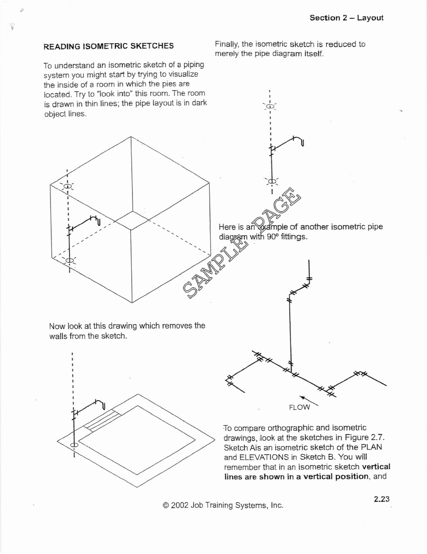## READING ISOMETRIC SKETCHES

To understand an isometric sketch of a piping system you might start by trying to visualize the inside of a room in which the pies are located. Try to "look into" this room. The room is drawn in thin lines; the pipe layout is in dark object lines.

Finally, the isometric sketch is reduced to merely the pipe diagram itself.



@ 2002 Job Training Systems, lnc.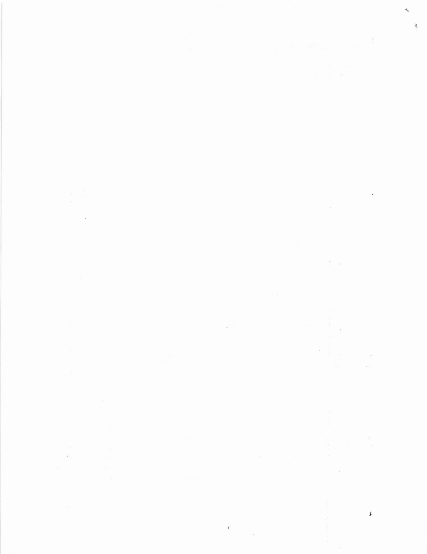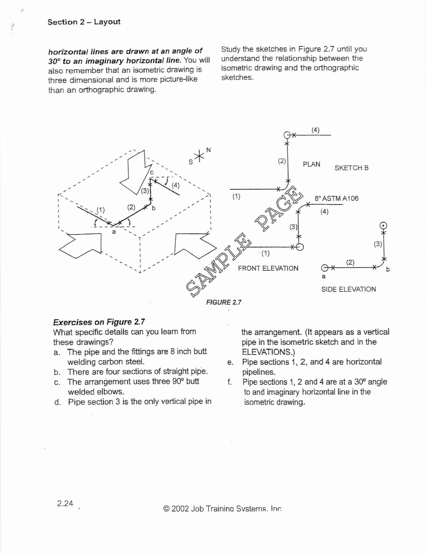# Section 2 - Layout

horizontal lines are drawn at an angle of 30° to an imaginary horizontal line. You will also remember that an isometric drawing is three ciimensional and is more picture-like than an orthographic drawing.

Study the sketches in Figure 2.7 until you understand the relationship between the isometric drawing and the orthographic sketches.



# Exercises on Figure 2.7

What specific details can you learn from these drawings?

- a. The pipe and the fttings are 8 inch butt welding carbon steel.
- b. There are four sections of straight pipe.
- c. The arrangement uses three 90° butt welded elbows.
- d. Pipe section 3 is the only vertical pipe in

the arrangement. (It appears as a vertical pipe in the isometric sketch and in the ELEVATIONS.)

- e. Pipe sections 1, 2, and 4 are horizontal pipelines.
- f. Pipe sections 1, 2 and 4 are at a  $30^{\circ}$  angle to and imaginary horizontal line in the isometric drawing.